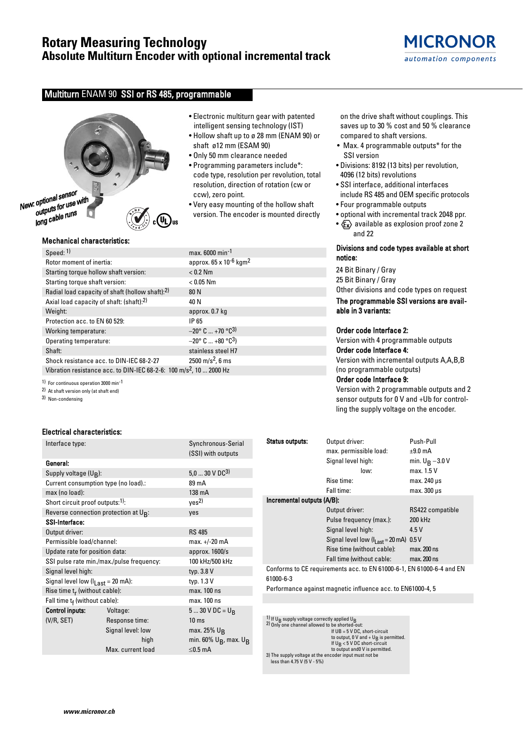# **Rotary Measuring Technology Absolute Multiturn Encoder with optional incremental track**

# Multiturn ENAM 90 SSI or RS 485, programmable



# Mechanical characteristics:

| Speed: 1)                                                                       | max. 6000 min <sup>-1</sup>                      |  |  |  |  |
|---------------------------------------------------------------------------------|--------------------------------------------------|--|--|--|--|
| Rotor moment of inertia:                                                        | approx. 65 x 10 <sup>-6</sup> kgm <sup>2</sup>   |  |  |  |  |
| Starting torque hollow shaft version:                                           | $< 0.2$ Nm                                       |  |  |  |  |
| Starting torque shaft version:                                                  | $< 0.05$ Nm                                      |  |  |  |  |
| Radial load capacity of shaft (hollow shaft):2)                                 | 80 N                                             |  |  |  |  |
| Axial load capacity of shaft: (shaft):2)                                        | 40 N                                             |  |  |  |  |
| Weight:                                                                         | approx. 0.7 kg                                   |  |  |  |  |
| Protection acc. to EN 60 529:                                                   | IP 65                                            |  |  |  |  |
| Working temperature:                                                            | $-20^{\circ}$ C  +70 $^{\circ}$ C <sup>3)</sup>  |  |  |  |  |
| Operating temperature:                                                          | $-20^{\circ}$ C  +80 $^{\circ}$ C <sup>3</sup> ) |  |  |  |  |
| Shaft:                                                                          | stainless steel H7                               |  |  |  |  |
| Shock resistance acc. to DIN-IEC 68-2-27                                        | 2500 m/s <sup>2</sup> , 6 ms                     |  |  |  |  |
| Vibration resistance acc. to DIN-IEC 68-2-6: 100 m/s <sup>2</sup> , 10  2000 Hz |                                                  |  |  |  |  |

1) For continuous operation 3000 min-1

2) At shaft version only (at shaft end)

3) Non-condensing

# Electrical characteristics:

| Interface type:                                 |                                           | Synchronous-Serial          |  |  |  |
|-------------------------------------------------|-------------------------------------------|-----------------------------|--|--|--|
|                                                 |                                           | (SSI) with outputs          |  |  |  |
| General:                                        |                                           |                             |  |  |  |
| Supply voltage (U <sub>B</sub> ):               |                                           | $5,030$ V DC <sup>3)</sup>  |  |  |  |
| Current consumption type (no load).:            |                                           | 89 mA                       |  |  |  |
| max (no load):                                  |                                           | 138 mA                      |  |  |  |
| Short circuit proof outputs: <sup>1)</sup> :    |                                           | yes <sup>2)</sup>           |  |  |  |
| Reverse connection protection at $U_{R}$ :      |                                           | yes                         |  |  |  |
| SSI-Interface:                                  |                                           |                             |  |  |  |
| Output driver:                                  |                                           | <b>RS 485</b>               |  |  |  |
| Permissible load/channel:                       |                                           | max. +/-20 mA               |  |  |  |
| Update rate for position data:                  |                                           | approx. 1600/s              |  |  |  |
|                                                 | SSI pulse rate min./max./pulse frequency: | 100 kHz/500 kHz             |  |  |  |
| Signal level high:                              |                                           | typ. 3.8 V                  |  |  |  |
| Signal level low $(I_{Last} = 20 \text{ mA})$ : |                                           | typ. 1.3 V                  |  |  |  |
| Rise time $t_r$ (without cable):                |                                           | max. 100 ns                 |  |  |  |
| Fall time tf (without cable):                   |                                           | max. 100 ns                 |  |  |  |
| <b>Control inputs:</b>                          | Voltage:                                  | 5  30 V DC = $U_R$          |  |  |  |
| (V/R, SET)                                      | Response time:                            | 10 <sub>ms</sub>            |  |  |  |
|                                                 | Signal level: low                         | max. 25% $U_R$              |  |  |  |
|                                                 | high                                      | min. 60% $U_B$ , max. $U_B$ |  |  |  |
|                                                 | Max. current load                         | $\leq$ 0.5 mA               |  |  |  |
|                                                 |                                           |                             |  |  |  |

- Electronic multiturn gear with patented intelligent sensing technology (IST)
- Hollow shaft up to ø 28 mm (ENAM 90) or shaft ø12 mm (ESAM 90)
- Only 50 mm clearance needed
- Programming parameters include\*: code type, resolution per revolution, total resolution, direction of rotation (cw or ccw), zero point.
- Very easy mounting of the hollow shaft version. The encoder is mounted directly

on the drive shaft without couplings. This saves up to 30 % cost and 50 % clearance compared to shaft versions.

- Max. 4 programmable outputs\* for the SSI version
- Divisions: 8192 (13 bits) per revolution, 4096 (12 bits) revolutions
- SSI interface, additional interfaces include RS 485 and OEM specific protocols
- Four programmable outputs
- optional with incremental track 2048 ppr.
- $x \rightarrow 2$  available as explosion proof zone 2 and 22

# Divisions and code types available at short notice:

24 Bit Binary / Gray 25 Bit Binary / Gray Other divisions and code types on request

The programmable SSI versions are available in 3 variants:

#### Order code Interface 2:

Version with 4 programmable outputs Order code Interface 4:

Version with incremental outputs A,A,B,B (no programmable outputs)

# Order code Interface 9:

Version with 2 programmable outputs and 2 sensor outputs for 0 V and +Ub for controlling the supply voltage on the encoder.

| <b>Status outputs:</b>                                                             | Output driver:                             | Push-Pull          |  |  |  |  |  |  |
|------------------------------------------------------------------------------------|--------------------------------------------|--------------------|--|--|--|--|--|--|
|                                                                                    | max. permissible load:                     | $±9.0$ mA          |  |  |  |  |  |  |
|                                                                                    | Signal level high:                         | min. $U_R - 3.0 V$ |  |  |  |  |  |  |
|                                                                                    | low:                                       | max. 1.5 V         |  |  |  |  |  |  |
|                                                                                    | Rise time:                                 | max. 240 µs        |  |  |  |  |  |  |
|                                                                                    | Fall time:                                 | $max.300 \,\mu s$  |  |  |  |  |  |  |
| Incremental outputs (A/B):                                                         |                                            |                    |  |  |  |  |  |  |
|                                                                                    | Output driver:                             | RS422 compatible   |  |  |  |  |  |  |
|                                                                                    | Pulse frequency (max.):                    | 200 kHz            |  |  |  |  |  |  |
|                                                                                    | Signal level high:                         | 4.5 V              |  |  |  |  |  |  |
|                                                                                    | Signal level low $(Ilast = 20 \text{ mA})$ | 0.5V               |  |  |  |  |  |  |
|                                                                                    | Rise time (without cable):                 | max. 200 ns        |  |  |  |  |  |  |
|                                                                                    | Fall time (without cable:                  | max. 200 ns        |  |  |  |  |  |  |
| Conforms to CE requirements acc. to EN 61000-6-1, EN 61000-6-4 and EN<br>61000-6-3 |                                            |                    |  |  |  |  |  |  |

Performance against magnetic influence acc. to EN61000-4, 5

1) If U<sub>B</sub> supply voltage correctly applied U<sub>B</sub>  $2)$  Only one channel allowed to be shorted-out: If UB = 5 V DC, short-circuit to output, 0 V and + U<sub>B</sub> is permitted.<br>If U<sub>B</sub> < 5 V DC short-circuit to output and0 V is permitted. 3) The supply voltage at the encoder input must not be less than 4.75 V (5 V - 5%)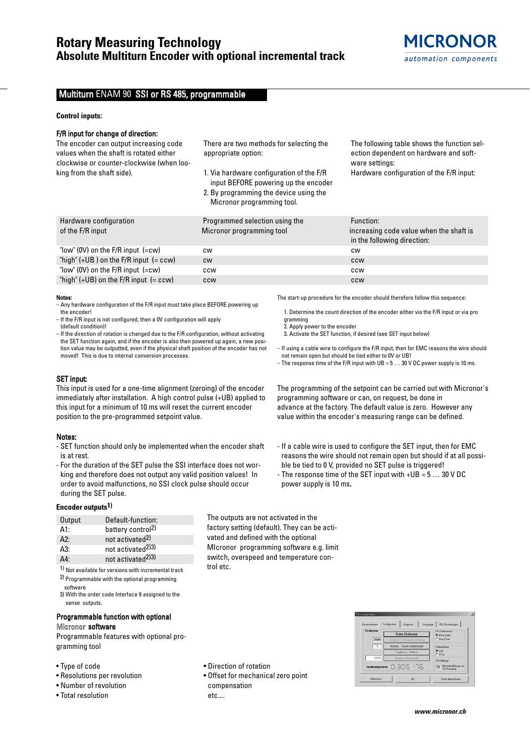# Multiturn ENAM 90 SSI or RS 485, programmable

#### **Control inputs:**

# F/R input for change of direction:

The encoder can output increasing code values when the shaft is rotated either clockwise or counter-clockwise (when looking from the shaft side).

There are two methods for selecting the appropriate option:

- 1. Via hardware configuration of the F/R input BEFORE powering up the encoder
- 2. By programming the device using the Micronor programming tool.

The following table shows the function selection dependent on hardware and software settings: Hardware configuration of the F/R input:

| Hardware configuration                    | Programmed selection using the | Function:                                                              |
|-------------------------------------------|--------------------------------|------------------------------------------------------------------------|
| of the F/R input                          | Micronor programming tool      | increasing code value when the shaft is<br>in the following direction: |
| "low" (OV) on the $F/R$ input $(=cw)$     | <b>CW</b>                      | <b>CW</b>                                                              |
| "high" $(+UB)$ on the F/R input $(= ccw)$ | <b>CW</b>                      | <b>CCW</b>                                                             |
| "low" (0V) on the $F/R$ input $(=cw)$     | ccw                            | ccw                                                                    |
| "high" $(+UB)$ on the F/R input $(= ccw)$ | <b>CCW</b>                     | <b>CCW</b>                                                             |

gramming

2. Apply power to the encoder

power supply is 10 ms.

#### Notes:

- Any hardware configuration of the F/R input must take place BEFORE powering up the encoder!
- If the F/R input is not configured, then a 0V configuration will apply (default condition)!

– If the direction of rotation is changed due to the F/R configuration, without activating the SET function again, and if the encoder is also then powered up again, a new position value may be outputted, even if the physical shaft position of the encoder has not moved! This is due to internal conversion processes.

# SET input:

This input is used for a one-time alignment (zeroing) of the encoder immediately after installation. A high control pulse (+UB) applied to this input for a minimum of 10 ms will reset the current encoder position to the pre-programmed setpoint value.

#### Notes:

- SET function should only be implemented when the encoder shaft is at rest.
- For the duration of the SET pulse the SSI interface does not working and therefore does not output any valid position values! In order to avoid malfunctions, no SSI clock pulse should occur during the SET pulse.

# **Encoder outputs1)**

| Output | Default-function:             |
|--------|-------------------------------|
| At:    | battery control <sup>2)</sup> |
| A2:    | not activated <sup>2)</sup>   |
| A3:    | not activated <sup>2)3)</sup> |
| Δ4٠    | not activated <sup>2)3)</sup> |

1) Not available for versions with incremental track 2) Programmable with the optional programming

software 3) With the order code Interface 9 assigned to the

sense outputs.

# Programmable function with optional Micronor software

Programmable features with optional programming tool

- Type of code
- Resolutions per revolution
- Number of revolution
- Total resolution

• Direction of rotation

trol etc.

• Offset for mechanical zero point compensation etc....

The outputs are not activated in the factory setting (default). They can be activated and defined with the optional MIcronor programming software e.g. limit switch, overspeed and temperature con-

| value within the encoder's measuring range can be defined.                                                                                                                                                                                                         |
|--------------------------------------------------------------------------------------------------------------------------------------------------------------------------------------------------------------------------------------------------------------------|
| - If a cable wire is used to configure the SET input, then for EMC<br>reasons the wire should not remain open but should if at all possi-<br>ble be tied to 0 V, provided no SET pulse is triggered!<br>- The response time of the SET input with $+UB = 530$ V DC |

The start-up procedure for the encoder should therefore follow this sequence:

3. Activate the SET function, if desired (see SET input below)

programming software or can, on request, be done in

not remain open but should be tied either to 0V or UB!

1. Determine the count direction of the encoder either via the F/R input or via pro

– If using a cable wire to configure the F/R input, then for EMC reasons the wire should

The programming of the setpoint can be carried out with Micronor's

– The response time of the F/R input with  $UB = 5 \dots 30$  V DC power supply is 10 ms.

advance at the factory. The default value is zero. However any

| Kommunikation     | Konfiguration<br>Diagnose<br>Ausgänge | SSI Einstellungen                      |  |  |
|-------------------|---------------------------------------|----------------------------------------|--|--|
| <b>Skalierung</b> | Keine Skalierung                      | SSI Datenformat<br><b>G</b> Binar Code |  |  |
| 2500              | Singletum Auflösung/Umdrehung         | C Gray Code                            |  |  |
| $\mathbf{1}$      | Multitum Anzahl Umdrehungen           | Drehrichtung<br>G DW<br>C CCW          |  |  |
|                   | Singleturn x Multiturn                |                                        |  |  |
| 2500              | Gesante Messitecke                    | SSI Bitlange                           |  |  |
| Skalierungsfaktor | 0.305.178                             | 25 Minimale Bitlange am                |  |  |

**www.micronor.ch**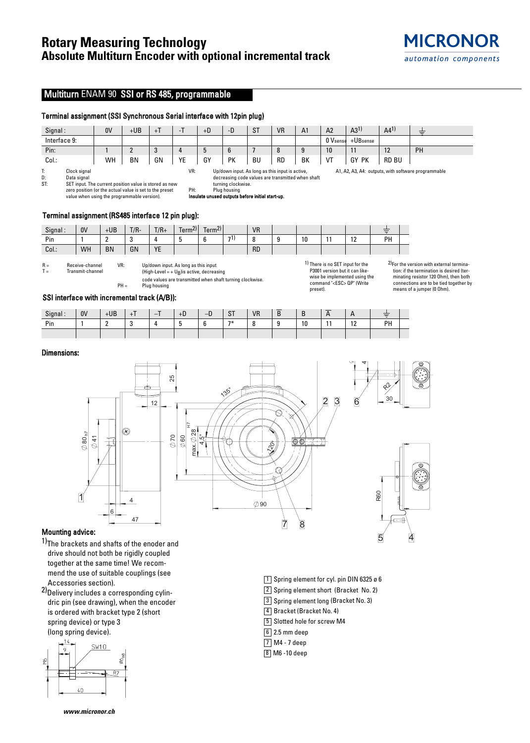# **Rotary Measuring Technology Absolute Multiturn Encoder with optional incremental track**

# Multiturn ENAM 90 SSI or RS 485, programmable

# Terminal assignment (SSI Synchronous Serial interface with 12pin plug)

| Signal:      | 0V | +UB | $+1$ | . . | $+D$ | -D              | <b>ST</b> | <b>VR</b> | A <sub>1</sub> | A <sub>2</sub> | $A3^{1}$ | $A4^{1}$       | -  |
|--------------|----|-----|------|-----|------|-----------------|-----------|-----------|----------------|----------------|----------|----------------|----|
| Interface 9: |    |     |      |     |      |                 |           |           |                | 0 Vsense       | +UBsense |                |    |
| Pin:         |    |     | c    |     |      | $6\overline{6}$ |           | $\Omega$  |                | 10             | 11       | $\overline{a}$ | PH |
| Col.:        | WH | BN  | GN   | YE  | GY   | PK              | <b>BU</b> | <b>RD</b> | BK             | VT             | GY<br>PK | <b>RD BU</b>   |    |

T: Clock signal<br>D: Data signal D: Data signal<br>ST: SET input. T SET input. The current position value is stored as new zero position (or the actual value is set to the preset value when using the programmable version).

VR: Up/down input. As long as this input is active, decreasing code values are transmitted when shaft turning clockwise. PH: Plug housing

Insulate unused outputs before initial start-up.

# Terminal assignment (RS485 interface 12 pin plug):

| Signal: | 0V | $+UB$     | $T/R -$ | $T/R+$           | 211<br>$\overline{\phantom{0}}$<br>Term <sup>zi</sup> | Term <sup>2</sup><br>$\overline{\phantom{0}}$ |     | <b>VR</b> |    |                       | __<br>Ξ |  |
|---------|----|-----------|---------|------------------|-------------------------------------------------------|-----------------------------------------------|-----|-----------|----|-----------------------|---------|--|
| Pin     |    |           |         |                  |                                                       |                                               | 71. |           | 10 | $\overline{a}$<br>. . | PH      |  |
| Col.:   | WH | <b>BN</b> | GN      | <b>VE</b><br>. . |                                                       |                                               |     | <b>RD</b> |    |                       |         |  |

 $R =$  Receive-channel<br> $T =$  Transmit-channel Transmit-channel VR: Up/down input. As long as this input (High-Level = +  $U_B$ ) is active, decreasing

code values are transmitted when shaft turning clockwise.  $PH =$  Plug housing

1) There is no SET input for the P3001 version but it can likewise be implemented using the command "<ESC> QP" (Write preset).

1 Spring element for cyl. pin DIN 6325 ø 6 2 Spring element short (Bracket No. 2) 3 Spring element long (Bracket No. 3)

4 Bracket (Bracket No. 4) 5 Slotted hole for screw M4

 $6$  2.5 mm deep M4 - 7 deep 7 8 M6 -10 deep

2)For the version with external termination: if the termination is desired (terminating resistor 120 Ohm), then both connections are to be tied together by means of a jumper (0 Ohm).

 $\overline{4}$ 

A1, A2, A3, A4: outputs, with software programmable

# SSI interface with incremental track (A/B)):

| Signal | 0V | $+UB$      |           | -<br>- | +D | n<br>–∟ | $\sim$ T<br>o. | <b>VR</b> | $\overline{\phantom{a}}$ |    | _ | . .       | ਵ  |  |
|--------|----|------------|-----------|--------|----|---------|----------------|-----------|--------------------------|----|---|-----------|----|--|
| Pin    |    | $\sqrt{2}$ | -<br>- 12 |        |    | $\sim$  | $7*$           |           | $\sqrt{2}$               | 10 |   | 10<br>. . | PH |  |
|        |    |            |           |        |    |         |                |           |                          |    |   |           |    |  |

# Dimensions:



# Mounting advice:

1)The brackets and shafts of the enoder and drive should not both be rigidly coupled together at the same time! We recommend the use of suitable couplings (see Accessories section).

2) Delivery includes a corresponding cylindric pin (see drawing), when the encoder is ordered with bracket type 2 (short spring device) or type 3 (long spring device).



**www.micronor.ch**